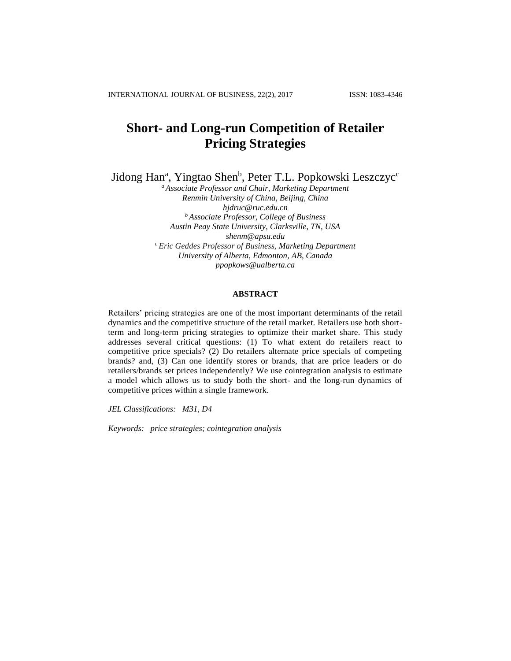# **Short- and Long-run Competition of Retailer Pricing Strategies**

Jidong Han<sup>a</sup>, Yingtao Shen<sup>b</sup>, Peter T.L. Popkowski Leszczyc<sup>c</sup>

*<sup>a</sup> Associate Professor and Chair, Marketing Department Renmin University of China, Beijing, China hjdruc@ruc.edu.cn <sup>b</sup> Associate Professor, College of Business Austin Peay State University, Clarksville, TN, USA shenm@apsu.edu <sup>c</sup> Eric Geddes Professor of Business, Marketing Department University of Alberta, Edmonton, AB, Canada ppopkows@ualberta.ca*

# **ABSTRACT**

Retailers' pricing strategies are one of the most important determinants of the retail dynamics and the competitive structure of the retail market. Retailers use both shortterm and long-term pricing strategies to optimize their market share. This study addresses several critical questions: (1) To what extent do retailers react to competitive price specials? (2) Do retailers alternate price specials of competing brands? and, (3) Can one identify stores or brands, that are price leaders or do retailers/brands set prices independently? We use cointegration analysis to estimate a model which allows us to study both the short- and the long-run dynamics of competitive prices within a single framework.

*JEL Classifications: M31, D4* 

*Keywords: price strategies; cointegration analysis*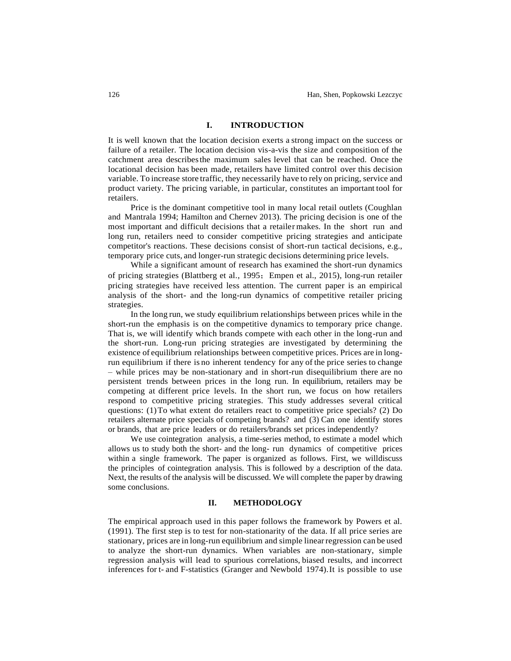### **I. INTRODUCTION**

It is well known that the location decision exerts a strong impact on the success or failure of a retailer. The location decision vis-a-vis the size and composition of the catchment area describesthe maximum sales level that can be reached. Once the locational decision has been made, retailers have limited control over this decision variable. To increase store traffic, they necessarily have to rely on pricing, service and product variety. The pricing variable, in particular, constitutes an important tool for retailers.

Price is the dominant competitive tool in many local retail outlets (Coughlan and Mantrala 1994; Hamilton and Chernev 2013). The pricing decision is one of the most important and difficult decisions that a retailer makes. In the short run and long run, retailers need to consider competitive pricing strategies and anticipate competitor's reactions. These decisions consist of short-run tactical decisions, e.g., temporary price cuts, and longer-run strategic decisions determining price levels.

While a significant amount of research has examined the short-run dynamics of pricing strategies (Blattberg et al., 1995;Empen et al., 2015), long-run retailer pricing strategies have received less attention. The current paper is an empirical analysis of the short- and the long-run dynamics of competitive retailer pricing strategies.

In the long run, we study equilibrium relationships between prices while in the short-run the emphasis is on the competitive dynamics to temporary price change. That is, we will identify which brands compete with each other in the long-run and the short-run. Long-run pricing strategies are investigated by determining the existence of equilibrium relationships between competitive prices. Prices are in longrun equilibrium if there is no inherent tendency for any of the price series to change – while prices may be non-stationary and in short-run disequilibrium there are no persistent trends between prices in the long run. In equilibrium, retailers may be competing at different price levels. In the short run, we focus on how retailers respond to competitive pricing strategies. This study addresses several critical questions: (1)To what extent do retailers react to competitive price specials? (2) Do retailers alternate price specials of competing brands? and (3) Can one identify stores or brands, that are price leaders or do retailers/brands set prices independently?

We use cointegration analysis, a time-series method, to estimate a model which allows us to study both the short- and the long- run dynamics of competitive prices within a single framework. The paper is organized as follows. First, we willdiscuss the principles of cointegration analysis. This is followed by a description of the data. Next, the results of the analysis will be discussed. We will complete the paper by drawing some conclusions.

### **II. METHODOLOGY**

The empirical approach used in this paper follows the framework by Powers et al. (1991). The first step is to test for non-stationarity of the data. If all price series are stationary, prices are in long-run equilibrium and simple linearregression can be used to analyze the short-run dynamics. When variables are non-stationary, simple regression analysis will lead to spurious correlations, biased results, and incorrect inferences for t- and F-statistics (Granger and Newbold 1974).It is possible to use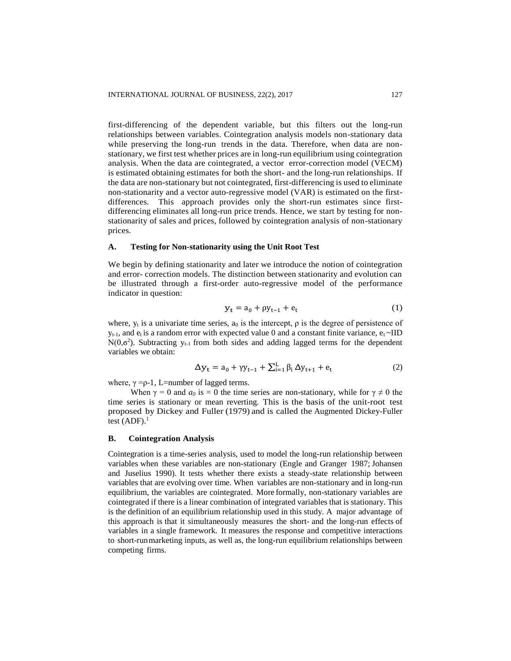first-differencing of the dependent variable, but this filters out the long-run relationships between variables. Cointegration analysis models non-stationary data while preserving the long-run trends in the data. Therefore, when data are nonstationary, we first test whether prices are in long-run equilibrium using cointegration analysis. When the data are cointegrated, a vector error-correction model (VECM) is estimated obtaining estimates for both the short- and the long-run relationships. If the data are non-stationary but not cointegrated, first-differencing is used to eliminate non-stationarity and a vector auto-regressive model (VAR) is estimated on the firstdifferences. This approach provides only the short-run estimates since firstdifferencing eliminates all long-run price trends. Hence, we start by testing for nonstationarity of sales and prices, followed by cointegration analysis of non-stationary prices.

### **A. Testing for Non-stationarity using the Unit Root Test**

We begin by defining stationarity and later we introduce the notion of cointegration and error- correction models. The distinction between stationarity and evolution can be illustrated through a first-order auto-regressive model of the performance indicator in question:

$$
y_t = a_0 + \rho y_{t-1} + e_t \tag{1}
$$

where,  $y_t$  is a univariate time series,  $a_0$  is the intercept,  $\rho$  is the degree of persistence of  $y_{t-1}$ , and  $e_t$  is a random error with expected value 0 and a constant finite variance,  $e_t \sim$ IID  $N(0, \sigma^2)$ . Subtracting  $y_{t-1}$  from both sides and adding lagged terms for the dependent variables we obtain:

$$
\Delta y_{t} = a_{0} + \gamma y_{t-1} + \sum_{i=1}^{L} \beta_{i} \, \Delta y_{t+1} + e_{t} \tag{2}
$$

where,  $\gamma = p-1$ , L=number of lagged terms.

When  $\gamma = 0$  and  $a_0$  is = 0 the time series are non-stationary, while for  $\gamma \neq 0$  the time series is stationary or mean reverting. This is the basis of the unit-root test proposed by Dickey and Fuller (1979) and is called the Augmented Dickey-Fuller test  $(ADF).<sup>1</sup>$ 

### **B. Cointegration Analysis**

Cointegration is a time-series analysis, used to model the long-run relationship between variables when these variables are non-stationary (Engle and Granger 1987; Johansen and Juselius 1990). It tests whether there exists a steady-state relationship between variables that are evolving over time. When variables are non-stationary and in long-run equilibrium, the variables are cointegrated. More formally, non-stationary variables are cointegrated if there is a linear combination of integrated variables that is stationary. This is the definition of an equilibrium relationship used in this study. A major advantage of this approach is that it simultaneously measures the short- and the long-run effects of variables in a single framework. It measures the response and competitive interactions to short-runmarketing inputs, as well as, the long-run equilibrium relationships between competing firms.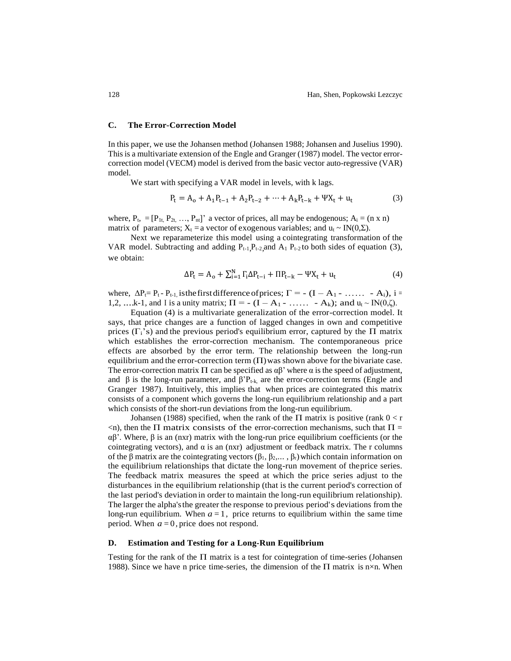### **C. The Error-Correction Model**

In this paper, we use the Johansen method (Johansen 1988; Johansen and Juselius 1990). This is a multivariate extension of the Engle and Granger (1987) model. The vector errorcorrection model (VECM) model is derived from the basic vector auto-regressive (VAR) model.

We start with specifying a VAR model in levels, with k lags.

$$
P_t = A_0 + A_1 P_{t-1} + A_2 P_{t-2} + \dots + A_k P_{t-k} + \Psi X_t + u_t
$$
 (3)

where,  $P_{t_1} = [P_{1t_1}, P_{2t_1}, \ldots, P_{nt}]$  a vector of prices, all may be endogenous;  $A_i = (n \times n)$ matrix of parameters;  $X_t = a$  vector of exogenous variables; and  $u_t \sim IN(0,\Sigma)$ .

Next we reparameterize this model using a cointegrating transformation of the VAR model. Subtracting and adding  $P_{t-1}, P_{t-2}$  and  $A_1, P_{t-2}$  to both sides of equation (3), we obtain:

$$
\Delta P_t = A_o + \sum_{i=1}^{N} \Gamma_i \Delta P_{t-i} + \Pi P_{t-k} - \Psi X_t + u_t \tag{4}
$$

where,  $\Delta P_t = P_t - P_{t-1}$ , is the first difference of prices;  $\Gamma = - (I - A_1 - \dots - A_i)$ , i = 1,2, ...k-1, and I is a unity matrix;  $\Pi = - (I - A_1 - \ldots - A_k)$ ; and  $u_t \sim IN(0,\zeta)$ .

Equation (4) is a multivariate generalization of the error-correction model. It says, that price changes are a function of lagged changes in own and competitive prices ( $\Gamma_i$ 's) and the previous period's equilibrium error, captured by the  $\Pi$  matrix which establishes the error-correction mechanism. The contemporaneous price effects are absorbed by the error term. The relationship between the long-run equilibrium and the error-correction term  $(\Pi)$  was shown above for the bivariate case. The error-correction matrix  $\Pi$  can be specified as  $\alpha\beta$ ' where  $\alpha$  is the speed of adjustment, and  $\beta$  is the long-run parameter, and  $\beta'P_{t-k}$  are the error-correction terms (Engle and Granger 1987). Intuitively, this implies that when prices are cointegrated this matrix consists of a component which governs the long-run equilibrium relationship and a part which consists of the short-run deviations from the long-run equilibrium.

Johansen (1988) specified, when the rank of the  $\Pi$  matrix is positive (rank  $0 < r$ )  $\leq$ n), then the Π matrix consists of the error-correction mechanisms, such that  $\Pi$  = αβ'. Where, β is an (nxr) matrix with the long-run price equilibrium coefficients (or the cointegrating vectors), and  $\alpha$  is an (nxr) adjustment or feedback matrix. The r columns of the β matrix are the cointegrating vectors (β<sub>1</sub>, β<sub>2</sub>,..., β<sub>r</sub>) which contain information on the equilibrium relationships that dictate the long-run movement of theprice series. The feedback matrix measures the speed at which the price series adjust to the disturbances in the equilibrium relationship (that is the current period's correction of the last period's deviation in order to maintain the long-run equilibrium relationship). The larger the alpha'sthe greater the response to previous period's deviations from the long-run equilibrium. When  $a=1$ , price returns to equilibrium within the same time period. When *a=*0*,* price does not respond.

### **D. Estimation and Testing for a Long-Run Equilibrium**

Testing for the rank of the  $\Pi$  matrix is a test for cointegration of time-series (Johansen 1988). Since we have n price time-series, the dimension of the  $\Pi$  matrix is n×n. When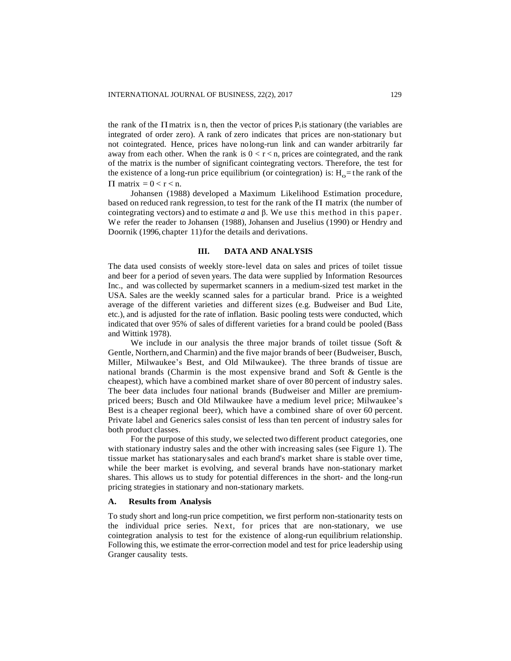the rank of the Π matrix is n, then the vector of prices  $P_t$  is stationary (the variables are integrated of order zero). A rank of zero indicates that prices are non-stationary but not cointegrated. Hence, prices have nolong-run link and can wander arbitrarily far away from each other. When the rank is  $0 < r < n$ , prices are cointegrated, and the rank of the matrix is the number of significant cointegrating vectors. Therefore, the test for the existence of a long-run price equilibrium (or cointegration) is:  $H_0$  = the rank of the  $\Pi$  matrix = 0 < r < n.

Johansen (1988) developed a Maximum Likelihood Estimation procedure, based on reduced rank regression, to test for the rank of the  $\Pi$  matrix (the number of cointegrating vectors) and to estimate *a* and β. We use this method in this pape r. We refer the reader to Johansen (1988), Johansen and Juselius (1990) or Hendry and Doornik (1996, chapter 11) for the details and derivations.

#### **III. DATA AND ANALYSIS**

The data used consists of weekly store-level data on sales and prices of toilet tissue and beer for a period of seven years. The data were supplied by Information Resources Inc., and was collected by supermarket scanners in a medium-sized test market in the USA. Sales are the weekly scanned sales for a particular brand. Price is a weighted average of the different varieties and different sizes (e.g. Budweiser and Bud Lite, etc.), and is adjusted for the rate of inflation. Basic pooling tests were conducted, which indicated that over 95% of sales of different varieties for a brand could be pooled (Bass and Wittink 1978).

We include in our analysis the three major brands of toilet tissue (Soft  $\&$ Gentle, Northern,and Charmin) and the five major brands of beer (Budweiser, Busch, Miller, Milwaukee's Best, and Old Milwaukee). The three brands of tissue are national brands (Charmin is the most expensive brand and Soft & Gentle is the cheapest), which have a combined market share of over 80 percent of industry sales. The beer data includes four national brands (Budweiser and Miller are premiumpriced beers; Busch and Old Milwaukee have a medium level price; Milwaukee's Best is a cheaper regional beer), which have a combined share of over 60 percent. Private label and Generics sales consist of less than ten percent of industry sales for both product classes.

For the purpose of this study, we selected two different product categories, one with stationary industry sales and the other with increasing sales (see Figure 1). The tissue market has stationarysales and each brand's market share is stable over time, while the beer market is evolving, and several brands have non-stationary market shares. This allows us to study for potential differences in the short- and the long-run pricing strategies in stationary and non-stationary markets.

### **A. Results from Analysis**

To study short and long-run price competition, we first perform non-stationarity tests on the individual price series. Next, for prices that are non-stationary, we use cointegration analysis to test for the existence of along-run equilibrium relationship. Following this, we estimate the error-correction model and test for price leadership using Granger causality tests.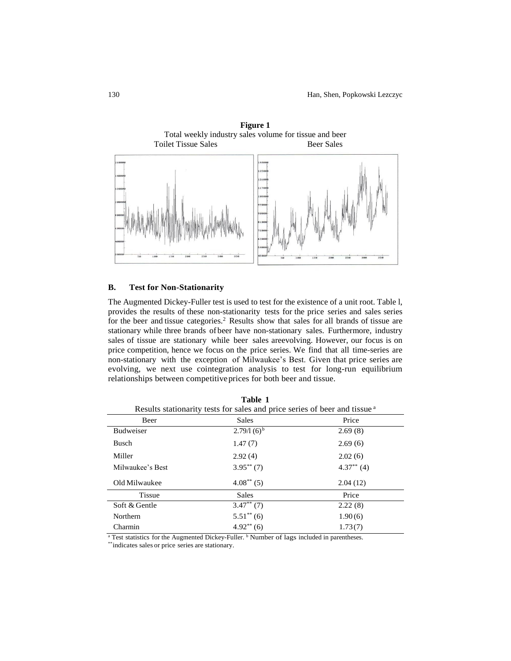

# **Figure 1** Total weekly industry sales volume for tissue and beer

### **B. Test for Non-Stationarity**

The Augmented Dickey-Fuller test is used to test for the existence of a unit root. Table l, provides the results of these non-stationarity tests for the price series and sales series for the beer and tissue categories.<sup>2</sup> Results show that sales for all brands of tissue are stationary while three brands of beer have non-stationary sales. Furthermore, industry sales of tissue are stationary while beer sales areevolving. However, our focus is on price competition, hence we focus on the price series. We find that all time-series are non-stationary with the exception of Milwaukee's Best. Given that price series are evolving, we next use cointegration analysis to test for long-run equilibrium relationships between competitiveprices for both beer and tissue.

| Table 1<br>Results stationarity tests for sales and price series of beer and tissue <sup>a</sup> |                 |               |  |  |  |
|--------------------------------------------------------------------------------------------------|-----------------|---------------|--|--|--|
| Beer                                                                                             | Sales           | Price         |  |  |  |
| <b>Budweiser</b>                                                                                 | $2.79/1(6)^{b}$ | 2.69(8)       |  |  |  |
| Busch                                                                                            | 1.47(7)         | 2.69(6)       |  |  |  |
| Miller                                                                                           | 2.92(4)         | 2.02(6)       |  |  |  |
| Milwaukee's Best                                                                                 | $3.95***(7)$    | $4.37***$ (4) |  |  |  |
| Old Milwaukee                                                                                    | $4.08^{**}$ (5) | 2.04(12)      |  |  |  |
| <b>Tissue</b>                                                                                    | Sales           | Price         |  |  |  |
| Soft & Gentle                                                                                    | $3.47**$ (7)    | 2.22(8)       |  |  |  |
| <b>Northern</b>                                                                                  | $5.51^{**}$ (6) | 1.90(6)       |  |  |  |
| Charmin                                                                                          | $4.92**$ (6)    | 1.73(7)       |  |  |  |

<sup>a</sup> Test statistics for the Augmented Dickey-Fuller. <sup>b</sup> Number of lags included in parentheses.

\*\*indicates sales or price series are stationary.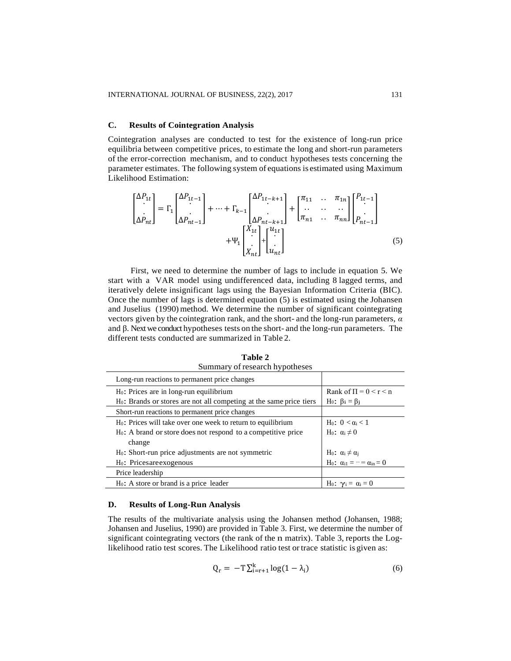### **C. Results of Cointegration Analysis**

Cointegration analyses are conducted to test for the existence of long-run price equilibria between competitive prices, to estimate the long and short-run parameters of the error-correction mechanism, and to conduct hypotheses tests concerning the parameter estimates. The following system of equations is estimated using Maximum Likelihood Estimation:

$$
\begin{bmatrix}\n\Delta P_{1t} \\
\Delta P_{nt}\n\end{bmatrix} = \Gamma_1 \begin{bmatrix}\n\Delta P_{1t-1} \\
\Delta P_{nt-1}\n\end{bmatrix} + \dots + \Gamma_{k-1} \begin{bmatrix}\n\Delta P_{1t-k+1} \\
\Delta P_{nt-k+1}\n\end{bmatrix} + \begin{bmatrix}\n\pi_{11} & \dots & \pi_{1n} \\
\vdots & \vdots & \vdots \\
\pi_{n1} & \dots & \pi_{nn}\n\end{bmatrix} \begin{bmatrix}\nP_{1t-1} \\
P_{nt-1}\n\end{bmatrix} + \Psi_1 \begin{bmatrix}\nX_{1t} \\
X_{nt}\n\end{bmatrix} + \begin{bmatrix}\nu_{1t} \\
u_{1t}\n\end{bmatrix}
$$
\n(5)

First, we need to determine the number of lags to include in equation 5. We start with a VAR model using undifferenced data, including 8 lagged terms, and iteratively delete insignificant lags using the Bayesian Information Criteria (BIC). Once the number of lags is determined equation (5) is estimated using the Johansen and Juselius (1990) method. We determine the number of significant cointegrating vectors given by the cointegration rank, and the short- and the long-run parameters, *α*  and β. Next we conduct hypotheses tests on the short- and the long-run parameters. The different tests conducted are summarized in Table 2.

**Table 2**  Summary of research hypotheses

| Long-run reactions to permanent price changes                                   |                                                           |
|---------------------------------------------------------------------------------|-----------------------------------------------------------|
| $H_0$ : Prices are in long-run equilibrium                                      | Rank of $\Pi = 0 < r < n$                                 |
| H <sub>0</sub> : Brands or stores are not all competing at the same price tiers | H <sub>0</sub> : $\beta_i = \beta_j$                      |
| Short-run reactions to permanent price changes                                  |                                                           |
| H <sub>0</sub> : Prices will take over one week to return to equilibrium        | H <sub>0</sub> : 0 < α <sub>i</sub> < 1                   |
| $H_0$ : A brand or store does not respond to a competitive price                | H <sub>0</sub> : $\alpha_i \neq 0$                        |
| change                                                                          |                                                           |
| H <sub>0</sub> : Short-run price adjustments are not symmetric                  | $H_0$ : $\alpha_i \neq \alpha_j$                          |
| H <sub>0</sub> : Pricesare exogenous                                            | H <sub>0</sub> : $\alpha_{i1} = \cdots = \alpha_{in} = 0$ |
| Price leadership                                                                |                                                           |
| $H_0$ : A store or brand is a price leader                                      | H <sub>0</sub> : $\gamma_i = \alpha_i = 0$                |

### **D. Results of Long-Run Analysis**

The results of the multivariate analysis using the Johansen method (Johansen, 1988; Johansen and Juselius, 1990) are provided in Table 3. First, we determine the number of significant cointegrating vectors (the rank of the n matrix). Table 3, reports the Loglikelihood ratio test scores. The Likelihood ratio test or trace statistic is given as:

$$
Q_{r} = -T \sum_{i=r+1}^{k} \log(1 - \lambda_{i})
$$
\n(6)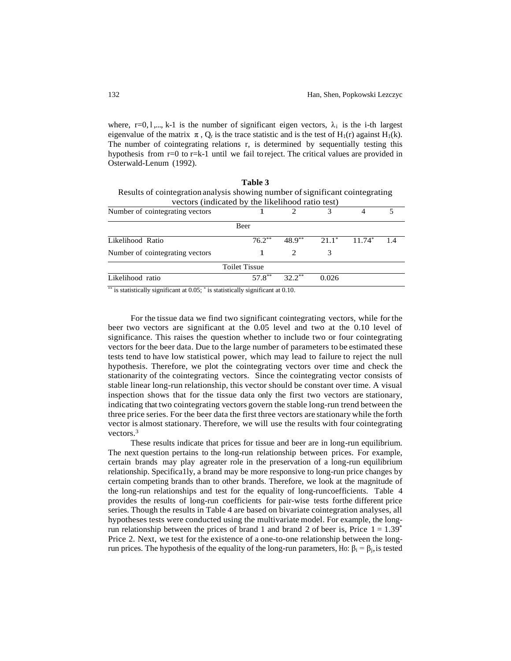where, r=0, l,..., k-1 is the number of significant eigen vectors,  $\lambda_i$  is the i-th largest eigenvalue of the matrix  $\pi$ , O<sub>r</sub> is the trace statistic and is the test of H<sub>1</sub>(r) against H<sub>1</sub>(k). The number of cointegrating relations r, is determined by sequentially testing this hypothesis from r=0 to r=k-1 until we fail to reject. The critical values are provided in Osterwald-Lenum (1992).

| Table 3                                                                       |                      |          |          |          |    |  |  |  |  |
|-------------------------------------------------------------------------------|----------------------|----------|----------|----------|----|--|--|--|--|
| Results of cointegration analysis showing number of significant cointegrating |                      |          |          |          |    |  |  |  |  |
| vectors (indicated by the likelihood ratio test)                              |                      |          |          |          |    |  |  |  |  |
| Number of cointegrating vectors                                               |                      |          |          |          |    |  |  |  |  |
|                                                                               | <b>Beer</b>          |          |          |          |    |  |  |  |  |
| Likelihood Ratio                                                              | $76.2***$            | $48.9**$ | $21.1^*$ | $11.74*$ | 14 |  |  |  |  |
| Number of cointegrating vectors                                               |                      |          | 3        |          |    |  |  |  |  |
|                                                                               | <b>Toilet Tissue</b> |          |          |          |    |  |  |  |  |
| Likelihood ratio                                                              |                      |          | 0 026    |          |    |  |  |  |  |

\*\* is statistically significant at 0.05; \* is statistically significant at 0.10.

For the tissue data we find two significant cointegrating vectors, while for the beer two vectors are significant at the 0.05 level and two at the 0.10 level of significance. This raises the question whether to include two or four cointegrating vectors for the beer data. Due to the large number of parameters to be estimated these tests tend to have low statistical power, which may lead to failure to reject the null hypothesis. Therefore, we plot the cointegrating vectors over time and check the stationarity of the cointegrating vectors. Since the cointegrating vector consists of stable linear long-run relationship, this vector should be constant over time. A visual inspection shows that for the tissue data only the first two vectors are stationary, indicating that two cointegrating vectors govern the stable long-run trend between the three price series. For the beer data the first three vectors are stationary while the forth vector is almost stationary. Therefore, we will use the results with four cointegrating vectors.<sup>3</sup>

These results indicate that prices for tissue and beer are in long-run equilibrium. The next question pertains to the long-run relationship between prices. For example, certain brands may play agreater role in the preservation of a long-run equilibrium relationship. Specifica1ly, a brand may be more responsive to long-run price changes by certain competing brands than to other brands. Therefore, we look at the magnitude of the long-run relationships and test for the equality of long-runcoefficients. Table 4 provides the results of long-run coefficients for pair-wise tests forthe different price series. Though the results in Table 4 are based on bivariate cointegration analyses, all hypotheses tests were conducted using the multivariate model. For example, the longrun relationship between the prices of brand 1 and brand 2 of beer is, Price  $1 = 1.39$ <sup>\*</sup> Price 2. Next, we test for the existence of a one-to-one relationship between the longrun prices. The hypothesis of the equality of the long-run parameters, Ho:  $β<sub>i</sub> = β<sub>i</sub>$ , is tested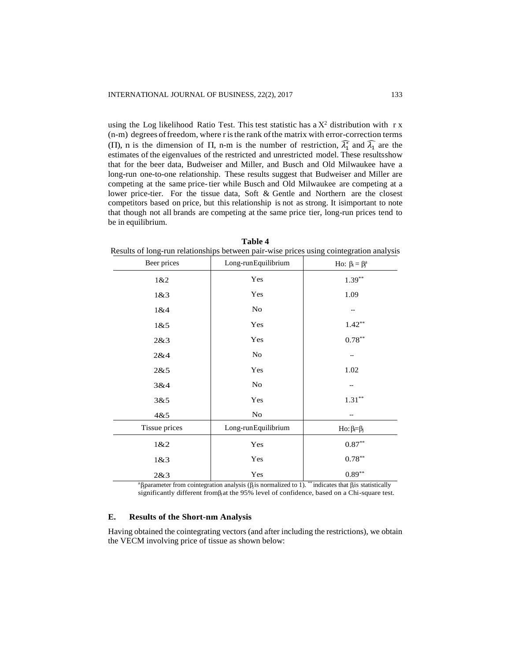using the Log likelihood Ratio Test. This test statistic has a  $X^2$  distribution with r x (n-m) degrees offreedom, where r isthe rank ofthe matrix with error-correction terms (Π), n is the dimension of Π, n-m is the number of restriction,  $\widehat{\lambda}_1^*$  and  $\widehat{\lambda}_1$  are the estimates of the eigenvalues of the restricted and unrestricted model. These resultsshow that for the beer data, Budweiser and Miller, and Busch and Old Milwaukee have a long-run one-to-one relationship. These results suggest that Budweiser and Miller are competing at the same price-tier while Busch and Old Milwaukee are competing at a lower price-tier. For the tissue data, Soft & Gentle and Northern are the closest competitors based on price, but this relationship is not as strong. It isimportant to note that though not all brands are competing at the same price tier, long-run prices tend to be in equilibrium.

| resums of folls fun featholiships between pair who prices asing connegration anarysi |                     |                           |  |  |  |  |
|--------------------------------------------------------------------------------------|---------------------|---------------------------|--|--|--|--|
| Beer prices                                                                          | Long-runEquilibrium | Ho: $\beta_i = \beta_i^a$ |  |  |  |  |
| 1&2                                                                                  | Yes                 | $1.39***$                 |  |  |  |  |
| 1&8:3                                                                                | Yes                 | 1.09                      |  |  |  |  |
| 1&4                                                                                  | No                  |                           |  |  |  |  |
| 1&8.5                                                                                | Yes                 | $1.42**$                  |  |  |  |  |
| 2&3                                                                                  | Yes                 | $0.78***$                 |  |  |  |  |
| 2&4                                                                                  | No                  |                           |  |  |  |  |
| 2&5                                                                                  | Yes                 | 1.02                      |  |  |  |  |
| 3&4                                                                                  | No                  |                           |  |  |  |  |
| 3&5                                                                                  | Yes                 | $1.31***$                 |  |  |  |  |
| 4&5                                                                                  | $\rm No$            |                           |  |  |  |  |
| Tissue prices                                                                        | Long-runEquilibrium | $Ho: \beta = \beta_j$     |  |  |  |  |
| 1&2                                                                                  | Yes                 | $0.87**$                  |  |  |  |  |
| 1&8:3                                                                                | Yes                 | $0.78***$                 |  |  |  |  |
| 2&3                                                                                  | Yes                 | $0.89**$                  |  |  |  |  |

|                                                                                         | Table 4 |  |  |  |
|-----------------------------------------------------------------------------------------|---------|--|--|--|
| Results of long-run relationships between pair-wise prices using cointegration analysis |         |  |  |  |

<sup>a</sup>β parameter from cointegration analysis (β is normalized to 1). \*\* indicates that β is statistically significantly different from  $\beta$  at the 95% level of confidence, based on a Chi-square test.

### **E. Results of the Short-nm Analysis**

Having obtained the cointegrating vectors (and after including the restrictions), we obtain the VECM involving price of tissue as shown below: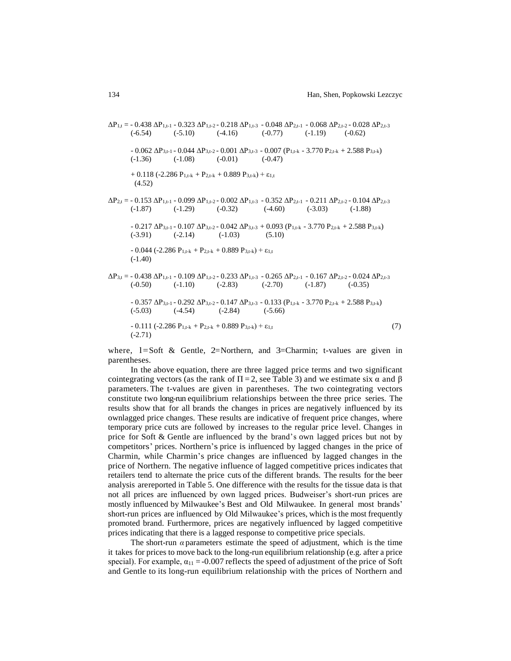$\Delta P_{1,t}$  = - 0.438  $\Delta P_{1,t-1}$  - 0.323  $\Delta P_{1,t-2}$  - 0.218  $\Delta P_{1,t-3}$  - 0.048  $\Delta P_{2,t-1}$  - 0.068  $\Delta P_{2,t-2}$  - 0.028  $\Delta P_{2,t-3}$  $(-6.54)$   $(-5.10)$   $(-4.16)$   $(-0.77)$   $(-1.19)$   $(-0.62)$ - 0.062 ΔP<sub>3,t-1</sub> - 0.044 ΔP<sub>3,t-2</sub> - 0.001 ΔP<sub>3,t-3</sub> - 0.007 (P<sub>1,t-k</sub> - 3.770 P<sub>2,t-k</sub> + 2.588 P<sub>3,t-k</sub>)  $(-1.36)$   $(-1.08)$   $(-0.01)$   $(-0.47)$ + 0.118 (-2.286  $P_{1,t-k}$  +  $P_{2,t-k}$  + 0.889  $P_{3,t-k}$ ) +  $\varepsilon_{1,t}$  (4.52)  $\Delta P_{2,t}$  = - 0.153  $\Delta P_{1,t-1}$  - 0.099  $\Delta P_{1,t-2}$  - 0.002  $\Delta P_{1,t-3}$  - 0.352  $\Delta P_{2,t-1}$  - 0.211  $\Delta P_{2,t-2}$  - 0.104  $\Delta P_{2,t-3}$  $(-1.87)$   $(-1.29)$   $(-0.32)$   $(-4.60)$   $(-3.03)$   $(-1.88)$  $- 0.217 \Delta P_{3,t-1} - 0.107 \Delta P_{3,t-2} - 0.042 \Delta P_{3,t-3} + 0.093 (P_{1,t-k} - 3.770 P_{2,t-k} + 2.588 P_{3,t-k})$  $(-3.91)$   $(-2.14)$   $(-1.03)$   $(5.10)$  $- 0.044$  (-2.286 P<sub>1,t-k</sub> + P<sub>2,t-k</sub> + 0.889 P<sub>3,t-k</sub>) +  $\varepsilon_{1,t}$  (-1.40)  $\Delta P_{3,t} = -0.438 \Delta P_{1,t-1} - 0.109 \Delta P_{1,t-2} - 0.233 \Delta P_{1,t-3} - 0.265 \Delta P_{2,t-1} - 0.167 \Delta P_{2,t-2} - 0.024 \Delta P_{2,t-3}$  $(-0.50)$   $(-1.10)$   $(-2.83)$   $(-2.70)$   $(-1.87)$   $(-0.35)$  $- 0.357 \Delta P_{3,t-1} - 0.292 \Delta P_{3,t-2} - 0.147 \Delta P_{3,t-3} - 0.133 (P_{1,t-k} - 3.770 P_{2,t-k} + 2.588 P_{3,t-k})$  $(-5.03)$   $(-4.54)$   $(-2.84)$   $(-5.66)$  $- 0.111 (-2.286 P_{1,t-k} + P_{2,t-k} + 0.889 P_{3,t-k}) + \varepsilon_{1,t}$  (7) (-2.71)

where,  $1 = Soft \&$  Gentle,  $2 = Northern$ , and  $3 = Charmin$ ; t-values are given in parentheses.

In the above equation, there are three lagged price terms and two significant cointegrating vectors (as the rank of  $\Pi = 2$ , see Table 3) and we estimate six  $\alpha$  and  $\beta$ parameters. The t-values are given in parentheses. The two cointegrating vectors constitute two long-run equilibrium relationships between the three price series. The results show that for all brands the changes in prices are negatively influenced by its ownlagged price changes. These results are indicative of frequent price changes, where temporary price cuts are followed by increases to the regular price level. Changes in price for Soft & Gentle are influenced by the brand's own lagged prices but not by competitors' prices. Northern's price is influenced by lagged changes in the price of Charmin, while Charmin's price changes are influenced by lagged changes in the price of Northern. The negative influence of lagged competitive prices indicates that retailers tend to alternate the price cuts of the different brands. The results for the beer analysis arereported in Table 5. One difference with the results for the tissue data is that not all prices are influenced by own lagged prices. Budweiser's short-run prices are mostly influenced by Milwaukee's Best and Old Milwaukee. In general most brands' short-run prices are influenced by Old Milwaukee's prices, which is the most frequently promoted brand. Furthermore, prices are negatively influenced by lagged competitive prices indicating that there is a lagged response to competitive price specials.

The short-run  $\alpha$  parameters estimate the speed of adjustment, which is the time it takes for prices to move back to the long-run equilibrium relationship (e.g. after a price special). For example,  $\alpha_{11} = -0.007$  reflects the speed of adjustment of the price of Soft and Gentle to its long-run equilibrium relationship with the prices of Northern and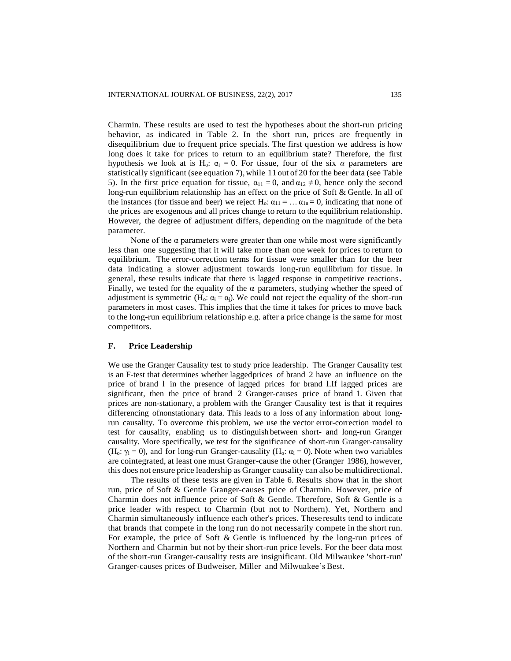Charmin. These results are used to test the hypotheses about the short-run pricing behavior, as indicated in Table 2. In the short run, prices are frequently in disequilibrium due to frequent price specials. The first question we address is how long does it take for prices to return to an equilibrium state? Therefore, the first hypothesis we look at is H<sub>o</sub>:  $\alpha_i = 0$ . For tissue, four of the six  $\alpha$  parameters are statistically significant (see equation 7), while 11 out of 20 for the beer data (see Table 5). In the first price equation for tissue,  $\alpha_{11} = 0$ , and  $\alpha_{12} \neq 0$ , hence only the second long-run equilibrium relationship has an effect on the price of Soft & Gentle. In all of the instances (for tissue and beer) we reject H<sub>0</sub>:  $\alpha_{11} = \dots \alpha_{1n} = 0$ , indicating that none of the prices are exogenous and all prices change to return to the equilibrium relationship. However, the degree of adjustment differs, depending on the magnitude of the beta parameter.

None of the  $\alpha$  parameters were greater than one while most were significantly less than one suggesting that it will take more than one week for prices to return to equilibrium. The error-correction terms for tissue were smaller than for the beer data indicating a slower adjustment towards long-run equilibrium for tissue. In general, these results indicate that there is lagged response in competitive reactions. Finally, we tested for the equality of the  $\alpha$  parameters, studying whether the speed of adjustment is symmetric (H<sub>0</sub>:  $\alpha_i = \alpha_i$ ). We could not reject the equality of the short-run parameters in most cases. This implies that the time it takes for prices to move back to the long-run equilibrium relationship e.g. after a price change is the same for most competitors.

### **F. Price Leadership**

We use the Granger Causality test to study price leadership. The Granger Causality test is an F-test that determines whether lagged prices of brand 2 have an influence on the price of brand l in the presence of lagged prices for brand l.If lagged prices are significant, then the price of brand 2 Granger-causes price of brand 1. Given that prices are non-stationary, a problem with the Granger Causality test is that it requires differencing ofnonstationary data. This leads to a loss of any information about longrun causality. To overcome this problem, we use the vector error-correction model to test for causality, enabling us to distinguish between short- and long-run Granger causality. More specifically, we test for the significance of short-run Granger-causality (H<sub>o</sub>:  $\gamma_i = 0$ ), and for long-run Granger-causality (H<sub>o</sub>:  $\alpha_i = 0$ ). Note when two variables are cointegrated, at least one must Granger-cause the other (Granger 1986), however, this does not ensure price leadership as Granger causality can also be multidirectional.

The results of these tests are given in Table 6. Results show that in the short run, price of Soft & Gentle Granger-causes price of Charmin. However, price of Charmin does not influence price of Soft & Gentle. Therefore, Soft & Gentle is a price leader with respect to Charmin (but not to Northern). Yet, Northern and Charmin simultaneously influence each other's prices. These results tend to indicate that brands that compete in the long run do not necessarily compete in the short run. For example, the price of Soft & Gentle is influenced by the long-run prices of Northern and Charmin but not by their short-run price levels. For the beer data most of the short-run Granger-causality tests are insignificant. Old Milwaukee 'short-run' Granger-causes prices of Budweiser, Miller and Milwuakee's Best.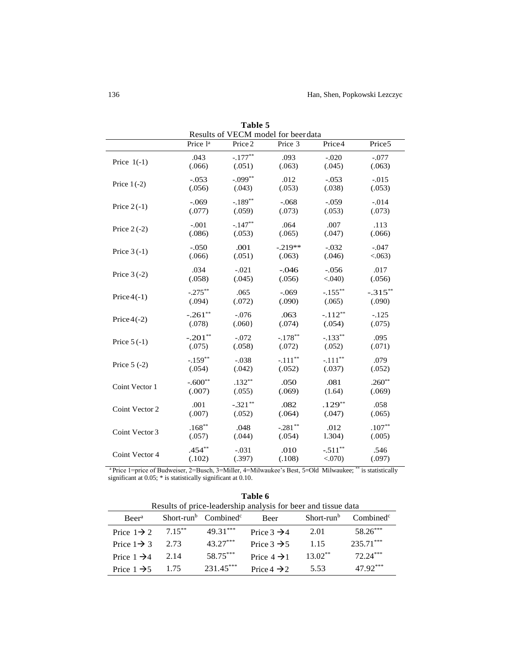| L'avie 5<br>Results of VECM model for beerdata |                      |           |            |            |                    |  |  |
|------------------------------------------------|----------------------|-----------|------------|------------|--------------------|--|--|
|                                                | Price l <sup>a</sup> | Price 2   | Price 3    | Price4     | Price <sub>5</sub> |  |  |
| Price $1(-1)$                                  | .043                 | $-.177**$ | .093       | $-.020$    | $-.077$            |  |  |
|                                                | (.066)               | (.051)    | (.063)     | (.045)     | (.063)             |  |  |
| Price $1(-2)$                                  | $-.053$              | $-.099**$ | .012       | $-.053$    | $-.015$            |  |  |
|                                                | (.056)               | (.043)    | (.053)     | (.038)     | (.053)             |  |  |
| Price $2(-1)$                                  | $-.069$              | $-.189**$ | $-.068$    | $-.059$    | $-.014$            |  |  |
|                                                | (.077)               | (.059)    | (.073)     | (.053)     | (.073)             |  |  |
| Price $2(-2)$                                  | $-.001$              | $-.147**$ | .064       | .007       | .113               |  |  |
|                                                | (.086)               | (.053)    | (.065)     | (.047)     | (.066)             |  |  |
| Price $3(-1)$                                  | $-.050$              | .001      | $-.219**$  | $-.032$    | $-.047$            |  |  |
|                                                | (.066)               | (.051)    | (.063)     | (.046)     | < .063)            |  |  |
| Price $3(-2)$                                  | .034                 | $-.021$   | $-.046$    | $-.056$    | .017               |  |  |
|                                                | (.058)               | (.045)    | (.056)     | $< .040$ ) | (.056)             |  |  |
| Price $4(-1)$                                  | $-.275***$           | .065      | $-.069$    | $-.155***$ | $-.315***$         |  |  |
|                                                | (.094)               | (.072)    | (.090)     | (.065)     | (.090)             |  |  |
| Price $4(-2)$                                  | $-.261**$            | $-.076$   | .063       | $-.112**$  | $-.125$            |  |  |
|                                                | (.078)               | (.060)    | (.074)     | (.054)     | (.075)             |  |  |
| Price $5(-1)$                                  | $-.201**$            | $-.072$   | $-.178**$  | $-.133**$  | .095               |  |  |
|                                                | (.075)               | (.058)    | (.072)     | (.052)     | (.071)             |  |  |
| Price $5(-2)$                                  | $-.159**$            | $-.038$   | $-.111***$ | $-.111$ ** | .079               |  |  |
|                                                | (.054)               | (.042)    | (.052)     | (.037)     | (.052)             |  |  |
| Coint Vector 1                                 | $-.600**$            | $.132**$  | .050       | .081       | $.260**$           |  |  |
|                                                | (.007)               | (.055)    | (.069)     | (1.64)     | (.069)             |  |  |
| Coint Vector 2                                 | .001                 | $-321**$  | .082       | $.129**$   | .058               |  |  |
|                                                | (.007)               | (.052)    | (.064)     | (.047)     | (.065)             |  |  |
| Coint Vector 3                                 | $.168**$             | .048      | $-.281**$  | .012       | $.107**$           |  |  |
|                                                | (.057)               | (.044)    | (.054)     | 1.304)     | (.005)             |  |  |
| Coint Vector 4                                 | $.454***$            | $-.031$   | .010       | $-.511**$  | .546               |  |  |
|                                                | (.102)               | (.397)    | (.108)     | < 0.070    | (.097)             |  |  |

**Table 5**

<sup>a</sup> Price 1=price of Budweiser, 2=Busch, 3=Miller, 4=Milwaukee's Best, 5=Old Milwaukee; \*\* is statistically significant at 0.05; \* is statistically significant at 0.10.

|                                                               |           |                                              | .                       |                        |                       |  |  |
|---------------------------------------------------------------|-----------|----------------------------------------------|-------------------------|------------------------|-----------------------|--|--|
| Results of price-leadership analysis for beer and tissue data |           |                                              |                         |                        |                       |  |  |
| <b>Beer</b> <sup>a</sup>                                      |           | Short-run <sup>b</sup> Combined <sup>c</sup> | <b>Beer</b>             | Short-run <sup>b</sup> | Combined <sup>c</sup> |  |  |
| Price $1\rightarrow 2$                                        | $7.15***$ | $49.31***$                                   | Price $3 \rightarrow 4$ | 2.01                   | 58.26***              |  |  |
| Price $1\rightarrow 3$                                        | 2.73      | $43.27***$                                   | Price $3 \rightarrow 5$ | 1.15                   | $235.71***$           |  |  |
| Price $1 \rightarrow 4$                                       | 2.14      | 58.75***                                     | Price $4 \rightarrow 1$ | $13.02**$              | $72.24***$            |  |  |
| Price $1 \rightarrow 5$                                       | 1.75      | $231.45***$                                  | Price $4 \rightarrow 2$ | 5.53                   | $47.92***$            |  |  |

**Table 6**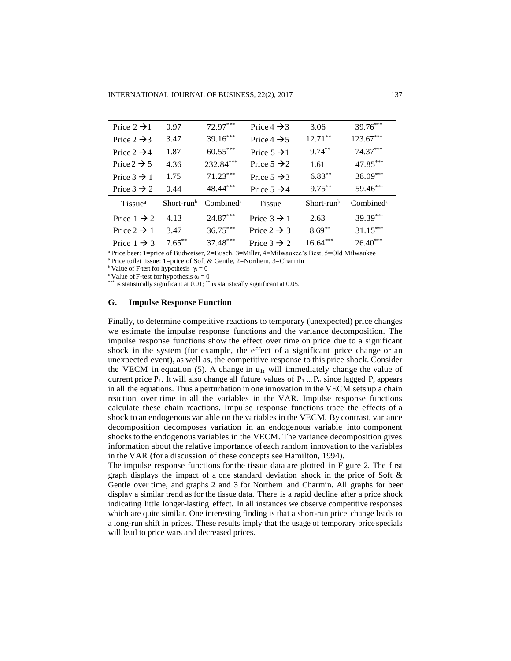| Price $2 \rightarrow 1$ | 0.97                   | 72.97***              | Price $4 \rightarrow 3$ | 3.06         | 39.76***              |  |
|-------------------------|------------------------|-----------------------|-------------------------|--------------|-----------------------|--|
| Price $2 \rightarrow 3$ | 3.47                   | $39.16***$            | Price $4 \rightarrow 5$ | $12.71***$   | $123.67***$           |  |
| Price $2 \rightarrow 4$ | 1.87                   | $60.55***$            | Price $5 \rightarrow 1$ | $9.74***$    | $74.37***$            |  |
| Price $2 \rightarrow 5$ | 4.36                   | 232.84***             | Price $5 \rightarrow 2$ | 1.61         | 47.85***              |  |
| Price $3 \rightarrow 1$ | 1.75                   | $71.23***$            | Price $5 \rightarrow 3$ | $6.83***$    | 38.09***              |  |
| Price $3 \rightarrow 2$ | 0.44                   | 48.44***              | Price $5 \rightarrow 4$ | $9.75***$    | 59.46***              |  |
| Tissue <sup>a</sup>     | Short-run <sup>b</sup> | Combined <sup>c</sup> | <b>Tissue</b>           | $Short-runb$ | Combined <sup>c</sup> |  |
| Price $1 \rightarrow 2$ | 4.13                   | $24.87***$            | Price $3 \rightarrow 1$ | 2.63         | 39.39***              |  |
| Price $2 \rightarrow 1$ | 3.47                   | $36.75***$            | Price $2 \rightarrow 3$ | $8.69***$    | $31.15***$            |  |
| Price $1 \rightarrow 3$ | $7.65***$              | 37.48***              | Price $3 \rightarrow 2$ | $16.64***$   | $26.40***$            |  |

<sup>a</sup>Price beer: 1=price of Budweiser, 2=Busch, 3=Miller, 4=Milwaukee's Best, 5=Old Milwaukee

<sup>a</sup> Price toilet tissue: 1=price of Soft & Gentle, 2=Northem, 3=Charmin

<sup>b</sup> Value of F-test for hypothesis  $\gamma_i = 0$ 

<sup>c</sup> Value of F-test for hypothesis  $\alpha_i = 0$ 

\*\*\* is statistically significant at 0.01; \*\* is statistically significant at 0.05.

# **G. Impulse Response Function**

Finally, to determine competitive reactions to temporary (unexpected) price changes we estimate the impulse response functions and the variance decomposition. The impulse response functions show the effect over time on price due to a significant shock in the system (for example, the effect of a significant price change or an unexpected event), as well as, the competitive response to this price shock. Consider the VECM in equation (5). A change in  $u_{1t}$  will immediately change the value of current price P<sub>1</sub>. It will also change all future values of  $P_1 ... P_n$  since lagged P, appears in all the equations. Thus a perturbation in one innovation in the VECM sets up a chain reaction over time in all the variables in the VAR. Impulse response functions calculate these chain reactions. Impulse response functions trace the effects of a shock to an endogenous variable on the variables in the VECM. By contrast, variance decomposition decomposes variation in an endogenous variable into component shocks to the endogenous variables in the VECM. The variance decomposition gives information about the relative importance of each random innovation to the variables in the VAR (for a discussion of these concepts see Hamilton, 1994).

The impulse response functions for the tissue data are plotted in Figure 2. The first graph displays the impact of a one standard deviation shock in the price of Soft  $\&$ Gentle over time, and graphs 2 and 3 for Northern and Charmin. All graphs for beer display a similar trend as for the tissue data. There is a rapid decline after a price shock indicating little longer-lasting effect. In all instances we observe competitive responses which are quite similar. One interesting finding is that a short-run price change leads to a long-run shift in prices. These results imply that the usage of temporary price specials will lead to price wars and decreased prices.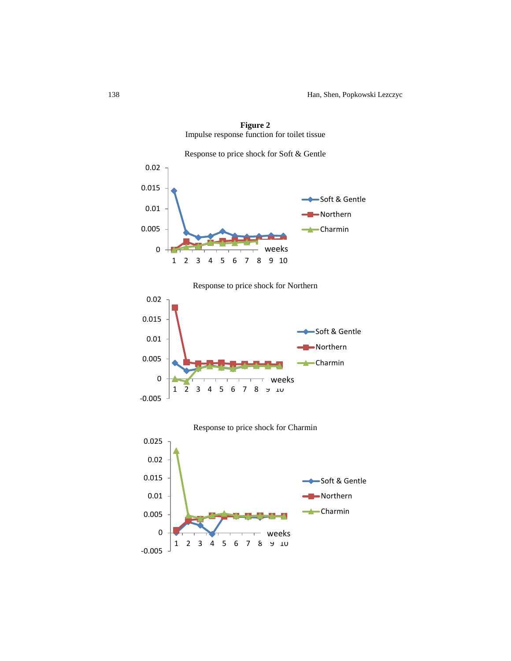

**Figure 2** Impulse response function for toilet tissue

Response to price shock for Northern



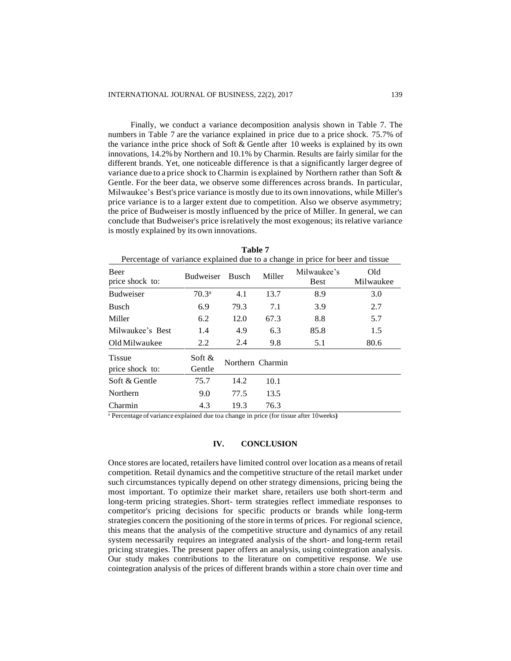Finally, we conduct a variance decomposition analysis shown in Table 7. The numbers in Table 7 are the variance explained in price due to a price shock. 75.7% of the variance inthe price shock of Soft & Gentle after 10 weeks is explained by its own innovations, 14.2% by Northern and 10.1% by Charmin. Results are fairly similar for the different brands. Yet, one noticeable difference is that a significantly larger degree of variance due to a price shock to Charmin is explained by Northern rather than Soft & Gentle. For the beer data, we observe some differences across brands. In particular, Milwaukee's Best's price variance is mostly due to its own innovations, while Miller's price variance is to a larger extent due to competition. Also we observe asymmetry; the price of Budweiser is mostly influenced by the price of Miller. In general, we can conclude that Budweiser's price isrelatively the most exogenous; itsrelative variance is mostly explained by its own innovations.

| Percentage of variance explained due to a change in price for beer and tissue |                   |                  |        |                            |                  |  |  |
|-------------------------------------------------------------------------------|-------------------|------------------|--------|----------------------------|------------------|--|--|
| <b>Beer</b><br>price shock to:                                                | <b>Budweiser</b>  | <b>Busch</b>     | Miller | Milwaukee's<br><b>Best</b> | Old<br>Milwaukee |  |  |
| <b>Budweiser</b>                                                              | 70.3 <sup>a</sup> | 4.1              | 13.7   | 8.9                        | 3.0              |  |  |
| <b>Busch</b>                                                                  | 6.9               | 79.3             | 7.1    | 3.9                        | 2.7              |  |  |
| Miller                                                                        | 6.2               | 12.0             | 67.3   | 8.8                        | 5.7              |  |  |
| Milwaukee's Best                                                              | 1.4               | 4.9              | 6.3    | 85.8                       | 1.5              |  |  |
| Old Milwaukee                                                                 | 2.2               | 2.4              | 9.8    | 5.1                        | 80.6             |  |  |
| <b>Tissue</b><br>price shock to:                                              | Soft &<br>Gentle  | Northern Charmin |        |                            |                  |  |  |
| Soft & Gentle                                                                 | 75.7              | 14.2             | 10.1   |                            |                  |  |  |
| Northern                                                                      | 9.0               | 77.5             | 13.5   |                            |                  |  |  |
| Charmin                                                                       | 4.3               | 19.3             | 76.3   |                            |                  |  |  |

**Table 7** 

<sup>a</sup> Percentage ofvariance explained due toa change in price (for tissue after 10weeks**)**

### **IV. CONCLUSION**

Once stores are located, retailers have limited control over location as a means ofretail competition. Retail dynamics and the competitive structure of the retail market under such circumstances typically depend on other strategy dimensions, pricing being the most important. To optimize their market share, retailers use both short-term and long-term pricing strategies. Short- term strategies reflect immediate responses to competitor's pricing decisions for specific products or brands while long-term strategies concern the positioning of the store in terms of prices. For regional science, this means that the analysis of the competitive structure and dynamics of any retail system necessarily requires an integrated analysis of the short- and long-term retail pricing strategies. The present paper offers an analysis, using cointegration analysis. Our study makes contributions to the literature on competitive response. We use cointegration analysis of the prices of different brands within a store chain over time and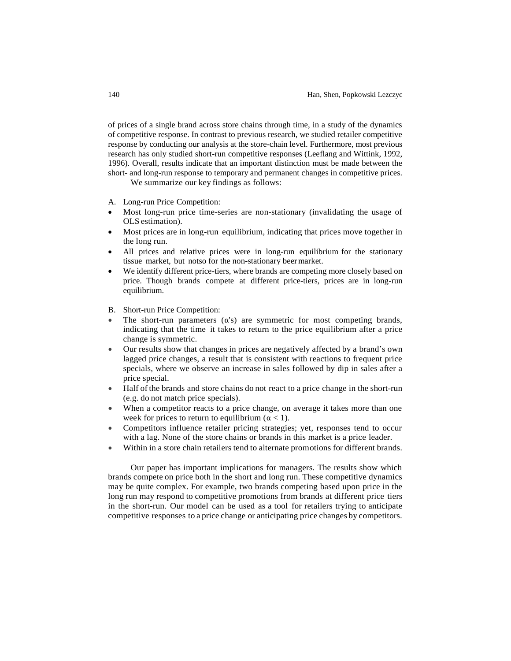of prices of a single brand across store chains through time, in a study of the dynamics of competitive response. In contrast to previous research, we studied retailer competitive response by conducting our analysis at the store-chain level. Furthermore, most previous research has only studied short-run competitive responses (Leeflang and Wittink, 1992, 1996). Overall, results indicate that an important distinction must be made between the short- and long-run response to temporary and permanent changes in competitive prices.

We summarize our key findings as follows:

- A. Long-run Price Competition:
- Most long-run price time-series are non-stationary (invalidating the usage of OLS estimation).
- Most prices are in long-run equilibrium, indicating that prices move together in the long run.
- All prices and relative prices were in long-run equilibrium for the stationary tissue market, but notso for the non-stationary beermarket.
- We identify different price-tiers, where brands are competing more closely based on price. Though brands compete at different price-tiers, prices are in long-run equilibrium.
- B. Short-run Price Competition:
- The short-run parameters  $(\alpha's)$  are symmetric for most competing brands, indicating that the time it takes to return to the price equilibrium after a price change is symmetric.
- Our results show that changes in prices are negatively affected by a brand's own lagged price changes, a result that is consistent with reactions to frequent price specials, where we observe an increase in sales followed by dip in sales after a price special.
- Half of the brands and store chains do not react to a price change in the short-run (e.g. do not match price specials).
- When a competitor reacts to a price change, on average it takes more than one week for prices to return to equilibrium ( $\alpha$  < 1).
- Competitors influence retailer pricing strategies; yet, responses tend to occur with a lag. None of the store chains or brands in this market is a price leader.
- Within in a store chain retailers tend to alternate promotions for different brands.

Our paper has important implications for managers. The results show which brands compete on price both in the short and long run. These competitive dynamics may be quite complex. For example, two brands competing based upon price in the long run may respond to competitive promotions from brands at different price tiers in the short-run. Our model can be used as a tool for retailers trying to anticipate competitive responses to a price change or anticipating price changes by competitors.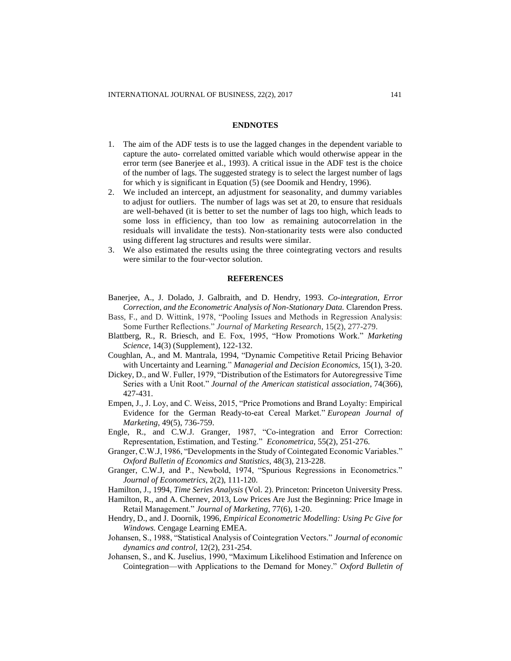### **ENDNOTES**

- 1. The aim of the ADF tests is to use the lagged changes in the dependent variable to capture the auto- correlated omitted variable which would otherwise appear in the error term (see Banerjee et al., 1993). A critical issue in the ADF test is the choice of the number of lags. The suggested strategy is to select the largest number of lags for which y is significant in Equation (5) (see Doomik and Hendry, 1996).
- 2. We included an intercept, an adjustment for seasonality, and dummy variables to adjust for outliers. The number of lags was set at 20, to ensure that residuals are well-behaved (it is better to set the number of lags too high, which leads to some loss in efficiency, than too low as remaining autocorrelation in the residuals will invalidate the tests). Non-stationarity tests were also conducted using different lag structures and results were similar.
- 3. We also estimated the results using the three cointegrating vectors and results were similar to the four-vector solution.

### **REFERENCES**

- Banerjee, A., J. Dolado, J. Galbraith, and D. Hendry, 1993. *Co-integration, Error Correction, and the Econometric Analysis of Non-Stationary Data.* Clarendon Press.
- Bass, F., and D. Wittink, 1978, "Pooling Issues and Methods in Regression Analysis: Some Further Reflections." *Journal of Marketing Research*, 15(2), 277-279.
- Blattberg, R., R. Briesch, and E. Fox, 1995, "How Promotions Work." *Marketing Science*, 14(3) (Supplement), 122-132.
- Coughlan, A., and M. Mantrala, 1994, "Dynamic Competitive Retail Pricing Behavior with Uncertainty and Learning." *Managerial and Decision Economics,* 15(1), 3-20.
- Dickey, D., and W. Fuller, 1979, "Distribution of the Estimators for Autoregressive Time Series with a Unit Root." *Journal of the American statistical association*, 74(366), 427-431.
- Empen, J., J. Loy, and C. Weiss, 2015, "Price Promotions and Brand Loyalty: Empirical Evidence for the German Ready-to-eat Cereal Market." *European Journal of Marketing*, 49(5), 736-759.
- Engle, R., and C.W.J. Granger, 1987, "Co-integration and Error Correction: Representation, Estimation, and Testing." *Econometrica*, 55(2), 251-276.
- Granger, C.W.J, 1986, "Developments in the Study of Cointegated Economic Variables." *Oxford Bulletin of Economics and Statistics*, 48(3), 213-228.
- Granger, C.W.J, and P., Newbold, 1974, "Spurious Regressions in Econometrics." *Journal of Econometrics*, 2(2), 111-120.
- Hamilton, J., 1994, *Time Series Analysis* (Vol. 2). Princeton: Princeton University Press.
- Hamilton, R., and A. Chernev, 2013, Low Prices Are Just the Beginning: Price Image in Retail Management." *Journal of Marketing*, 77(6), 1-20.
- Hendry, D., and J. Doornik, 1996, *Empirical Econometric Modelling: Using Pc Give for Windows.* Cengage Learning EMEA.
- Johansen, S., 1988, "Statistical Analysis of Cointegration Vectors." *Journal of economic dynamics and control*, 12(2), 231-254.
- Johansen, S., and K. Juselius, 1990, "Maximum Likelihood Estimation and Inference on Cointegration—with Applications to the Demand for Money." *Oxford Bulletin of*